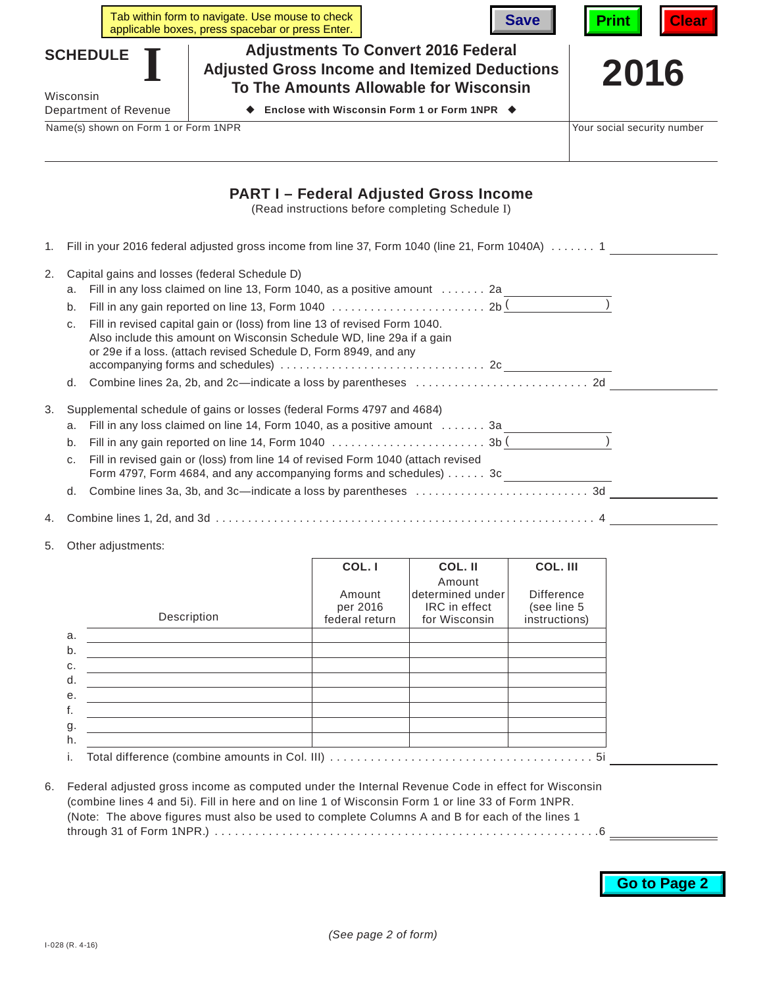|                                      |                                                                                                                                                                                                                                                                                                                                                                                                 |  | Tab within form to navigate. Use mouse to check<br>applicable boxes, press spacebar or press Enter.                                          |                                                  | <b>Save</b> | Print                       | Cleal |  |
|--------------------------------------|-------------------------------------------------------------------------------------------------------------------------------------------------------------------------------------------------------------------------------------------------------------------------------------------------------------------------------------------------------------------------------------------------|--|----------------------------------------------------------------------------------------------------------------------------------------------|--------------------------------------------------|-------------|-----------------------------|-------|--|
|                                      | <b>SCHEDULE</b><br>Wisconsin                                                                                                                                                                                                                                                                                                                                                                    |  | <b>Adjustments To Convert 2016 Federal</b><br><b>Adjusted Gross Income and Itemized Deductions</b><br>To The Amounts Allowable for Wisconsin |                                                  |             | 2016                        |       |  |
| Department of Revenue                |                                                                                                                                                                                                                                                                                                                                                                                                 |  | Enclose with Wisconsin Form 1 or Form 1NPR $\blacklozenge$                                                                                   |                                                  |             |                             |       |  |
| Name(s) shown on Form 1 or Form 1NPR |                                                                                                                                                                                                                                                                                                                                                                                                 |  |                                                                                                                                              |                                                  |             | Your social security number |       |  |
|                                      |                                                                                                                                                                                                                                                                                                                                                                                                 |  | <b>PART I – Federal Adjusted Gross Income</b>                                                                                                | (Read instructions before completing Schedule I) |             |                             |       |  |
| 1.                                   | Fill in your 2016 federal adjusted gross income from line 37, Form 1040 (line 21, Form 1040A)  1                                                                                                                                                                                                                                                                                                |  |                                                                                                                                              |                                                  |             |                             |       |  |
| 2.                                   | Capital gains and losses (federal Schedule D)<br>a. Fill in any loss claimed on line 13, Form 1040, as a positive amount  2a ________________<br>b.<br>Fill in revised capital gain or (loss) from line 13 of revised Form 1040.<br>C <sub>1</sub><br>Also include this amount on Wisconsin Schedule WD, line 29a if a gain<br>or 29e if a loss. (attach revised Schedule D, Form 8949, and any |  |                                                                                                                                              |                                                  |             |                             |       |  |
| 3.                                   | Supplemental schedule of gains or losses (federal Forms 4797 and 4684)<br>Fill in any loss claimed on line 14, Form 1040, as a positive amount  3a [Concentrious Concentration of<br>a.<br>b.<br>Fill in revised gain or (loss) from line 14 of revised Form 1040 (attach revised<br>C <sub>1</sub><br>Form 4797, Form 4684, and any accompanying forms and schedules) 3c<br>d.                 |  |                                                                                                                                              |                                                  |             |                             |       |  |
| 4.                                   |                                                                                                                                                                                                                                                                                                                                                                                                 |  |                                                                                                                                              |                                                  |             |                             |       |  |
| 5.                                   | Other adjustments:                                                                                                                                                                                                                                                                                                                                                                              |  |                                                                                                                                              |                                                  |             |                             |       |  |

|    |             | COL. I<br>Amount<br>per 2016 | COL. II<br>Amount<br>determined under<br>IRC in effect | COL. III<br><b>Difference</b><br>(see line 5 |  |  |
|----|-------------|------------------------------|--------------------------------------------------------|----------------------------------------------|--|--|
|    | Description | federal return               | for Wisconsin                                          | instructions)                                |  |  |
| a. |             |                              |                                                        |                                              |  |  |
| b. |             |                              |                                                        |                                              |  |  |
| C. |             |                              |                                                        |                                              |  |  |
| d. |             |                              |                                                        |                                              |  |  |
| е. |             |                              |                                                        |                                              |  |  |
| f. |             |                              |                                                        |                                              |  |  |
| g. |             |                              |                                                        |                                              |  |  |
| h. |             |                              |                                                        |                                              |  |  |
| i. |             |                              |                                                        |                                              |  |  |

6. Federal adjusted gross income as computed under the Internal Revenue Code in effect for Wisconsin (combine lines 4 and 5i). Fill in here and on line 1 of Wisconsin Form 1 or line 33 of Form 1NPR. (Note: The above figures must also be used to complete Columns A and B for each of the lines 1  $\frac{1}{100}$  and  $\frac{1}{100}$  of Form 1NPR.)  $\frac{1}{100}$  .  $\frac{1}{100}$  .  $\frac{1}{100}$  .  $\frac{1}{100}$  .  $\frac{1}{100}$  .  $\frac{1}{100}$  .  $\frac{1}{100}$  .  $\frac{1}{100}$  .  $\frac{1}{100}$  .  $\frac{1}{100}$  .  $\frac{1}{100}$  .  $\frac{1}{100}$  .  $\frac{1}{100}$ 

## **Go to Page 2**